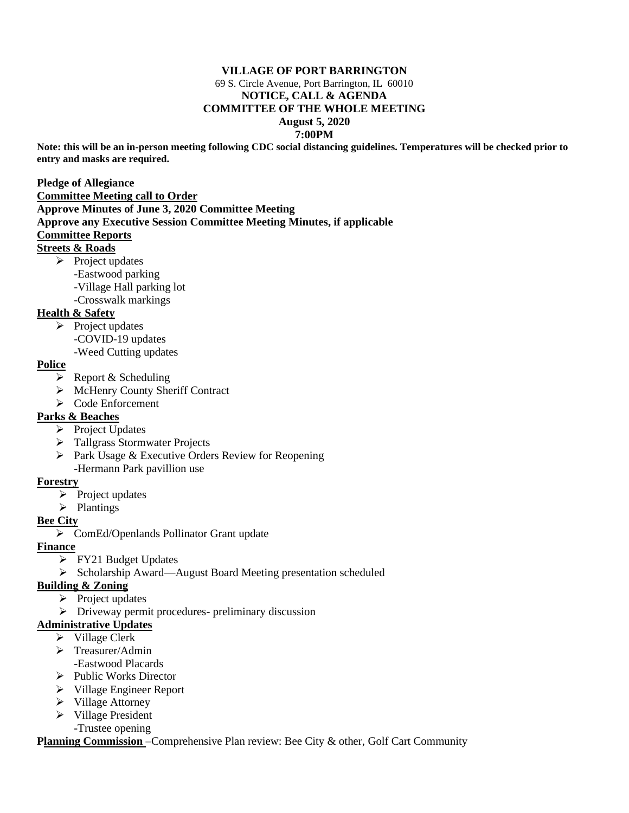#### **VILLAGE OF PORT BARRINGTON** 69 S. Circle Avenue, Port Barrington, IL 60010 **NOTICE, CALL & AGENDA COMMITTEE OF THE WHOLE MEETING August 5, 2020 7:00PM**

**Note: this will be an in-person meeting following CDC social distancing guidelines. Temperatures will be checked prior to entry and masks are required.**

#### **Pledge of Allegiance Committee Meeting call to Order Approve Minutes of June 3, 2020 Committee Meeting Approve any Executive Session Committee Meeting Minutes, if applicable Committee Reports Streets & Roads**

- ➢ Project updates
	- -Eastwood parking
	- -Village Hall parking lot
	- -Crosswalk markings

# **Health & Safety**

- ➢ Project updates
	- -COVID-19 updates
	- -Weed Cutting updates

#### **Police**

- ➢ Report & Scheduling
- ➢ McHenry County Sheriff Contract
- ➢ Code Enforcement

# **Parks & Beaches**

- ➢ Project Updates
- ➢ Tallgrass Stormwater Projects
- ➢ Park Usage & Executive Orders Review for Reopening -Hermann Park pavillion use

#### **Forestry**

- ➢ Project updates
- ➢ Plantings

# **Bee City**

➢ ComEd/Openlands Pollinator Grant update

# **Finance**

- ➢ FY21 Budget Updates
- ➢ Scholarship Award—August Board Meeting presentation scheduled

# **Building & Zoning**

- $\triangleright$  Project updates
- ➢ Driveway permit procedures- preliminary discussion

# **Administrative Updates**

- ➢ Village Clerk
- ➢ Treasurer/Admin
	- -Eastwood Placards
- ➢ Public Works Director
- ➢ Village Engineer Report
- ➢ Village Attorney
- ➢ Village President
- -Trustee opening

#### **Planning Commission** –Comprehensive Plan review: Bee City & other, Golf Cart Community